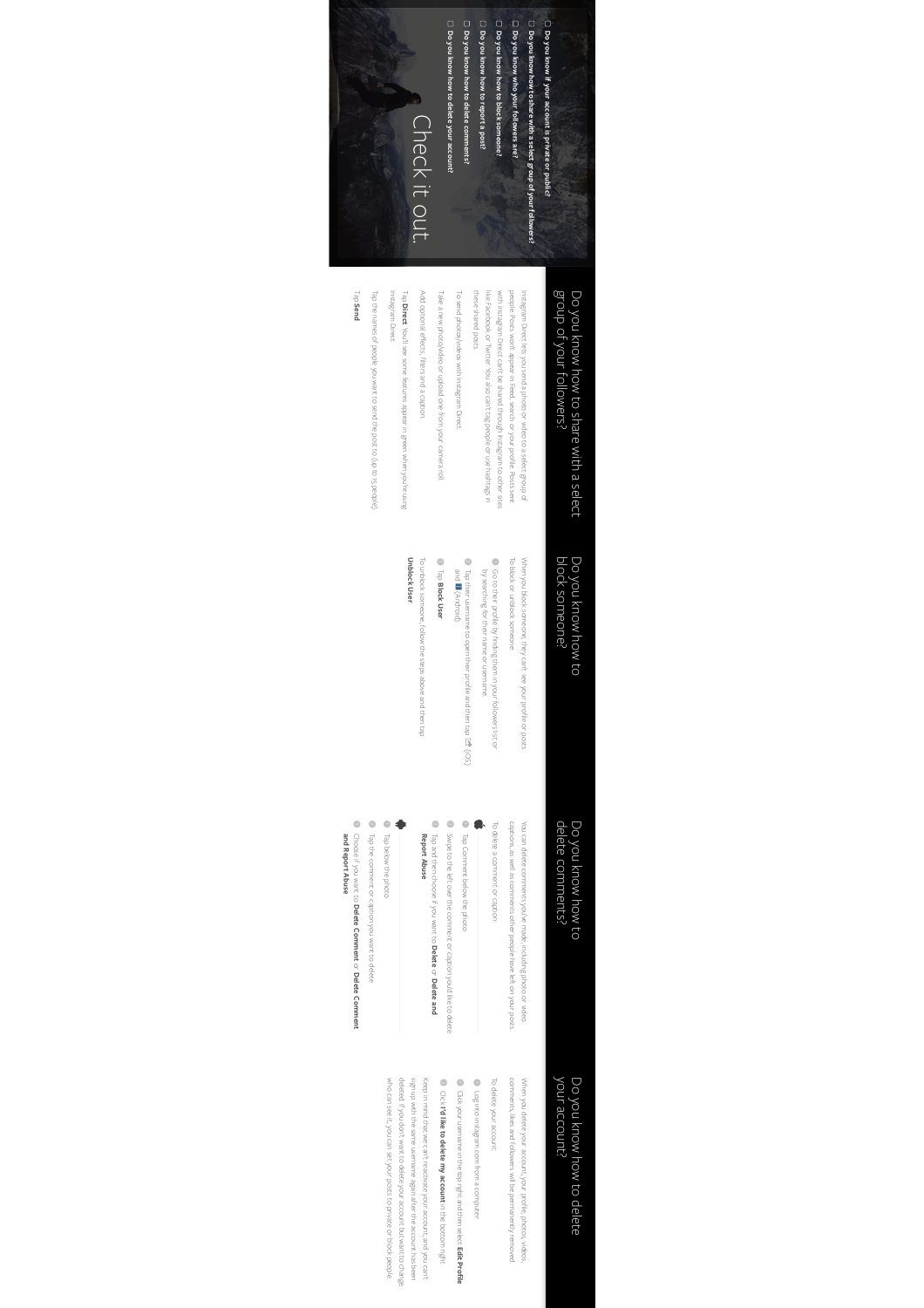

# group of your followers? Do you know how to share with a select group of your followers? Do you know how to share with a select

these shared posts. like Facebook or Twitter. You also can't tag people or use hashtags in with Instagram Direct can't be shared through Instagram to other sites people. Posts won't appear in Feed, search or your profile. Posts sent Instagram Direct lets you send a photo or video to a select group of these shared posts. like Facebook or Twitter. You also can't tag people or use hashtags in with Instagram Direct can't be shared through Instagram to other sites people. Posts won't appear in Feed, search or your profile. Posts sent Instagram Direct lets you send a photo or video to a select group of

To send photos/videos with Instagram Direct: To send photos/videos with Instagram Direct:

Take a new photo/video or upload one from your camera roll. Take a new photo/video or upload one from your camera roll.

Add optional e

ects, filters and a caption.

Add optional effects, filters and a caption. de<sub>l</sub> **Direct**. You'll see some features appear in green when you're using

Tap the names of people you want to send the post to (up to 15 people). Tap the names of people you want to send the post to (up to 15 people).

#### de<sub>1</sub> **Send**.

Instagram Direct.

Instagram Direct.

# Do you know how to<br>block someone? block someone? Do you know how to

To block or unblock someone: To block or unblock someone: When you block someone, they can't see your profile or posts. When you block someone, they can't see your profile or posts.

- Go to their profile by finding them in your followers list or Go to their profile by finding them in your followers list or
- by searching for their name or usemame. Tap their username to open their profile and then tap by searching for their name or username. (iOS)

#### and (Android). **Block User**

Tap

**Unblock User. Unblock User** To unblock someone, follow the steps above and then tap To unblock someone, follow the steps above and then tap

# Do you know how to<br>delete comments? delete comments? Do you know how to

captions, as well as comments other people have left on your posts. You can delete comments you've made, including photo or video captions, as well as comments other people have left on your posts. You can delete comments you've made, including photo or video

- To delete a comment or caption: To delete a comment or caption:
- Tap Comment below the photo Tap Comment below the photo
- Tap and then choose if you want to **Delete** or **Delete and**

Swipe to the left over the comment or caption you'd like to delete

Swipe to the left over the comment or caption you'd like to delete

# Report Abuse **Report Abuse**

- 
- **Delete Comment** or **Delete Comment**
- Choose if you want to

## your account? Do you know how to delete your account? Do you know how to delete

When you delete your account, your profile, photos, videos,<br>comments, likes and followers will be permanently removed. comments, likes and followers will be permanently removed. When you delete your account, your profile, photos, videos,

- To delete your account: To delete your account:
- Log into instagram.com from a computer Log into instagram.com from a computer
- Click your username in the top right and then select **Edit Profile** Clickyour username in the top right and then select Edit Profile

# Click 3 **I'd like to delete my account** in the bottom right

who can see it, you can set your posts to private or block people. deleted. If you don't want to delete your account but want to change sign up with the same username again after the account has been Keep in mind that we can't reactivate your account, and you can't who can see it, you can set your posts to private or block people. deleted. If you don't want to delete your account but want to change sign up with the same username again after the account has been Keep in mind that we can't reactivate your account, and you can't

- Tap the comment or caption you want to delete Tap below the photo Tap the comment or caption you want to delete Tap below the photo
- 
- **and Report Abuse**